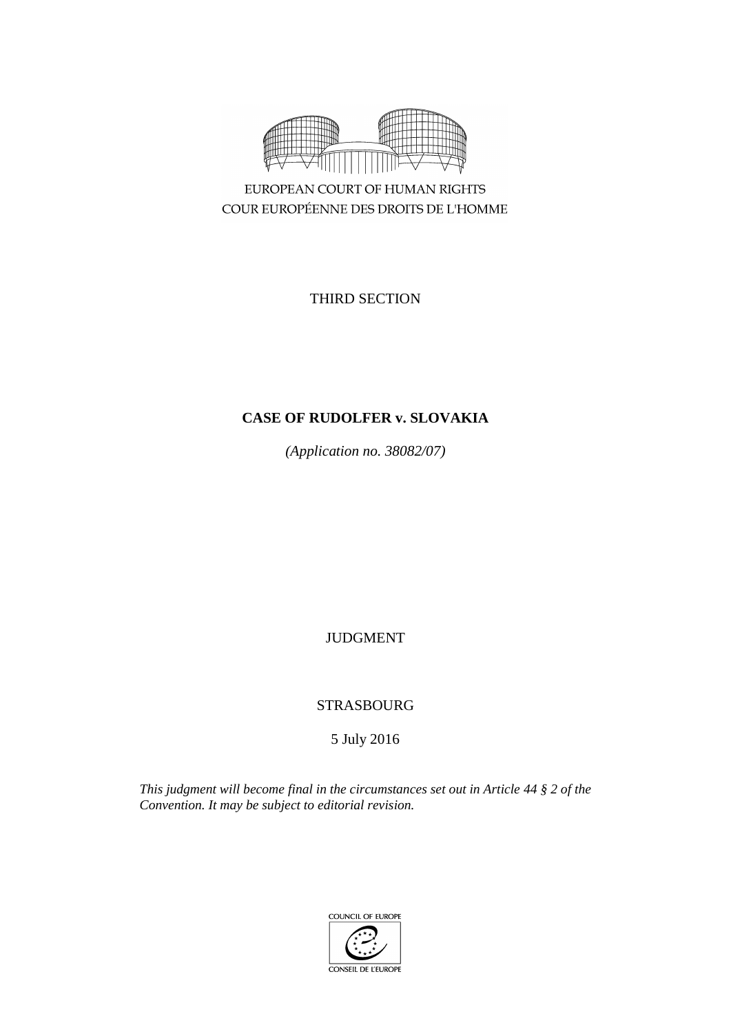

EUROPEAN COURT OF HUMAN RIGHTS COUR EUROPÉENNE DES DROITS DE L'HOMME

THIRD SECTION

# **CASE OF RUDOLFER v. SLOVAKIA**

*(Application no. 38082/07)*

JUDGMENT

STRASBOURG

5 July 2016

*This judgment will become final in the circumstances set out in Article 44 § 2 of the Convention. It may be subject to editorial revision.*

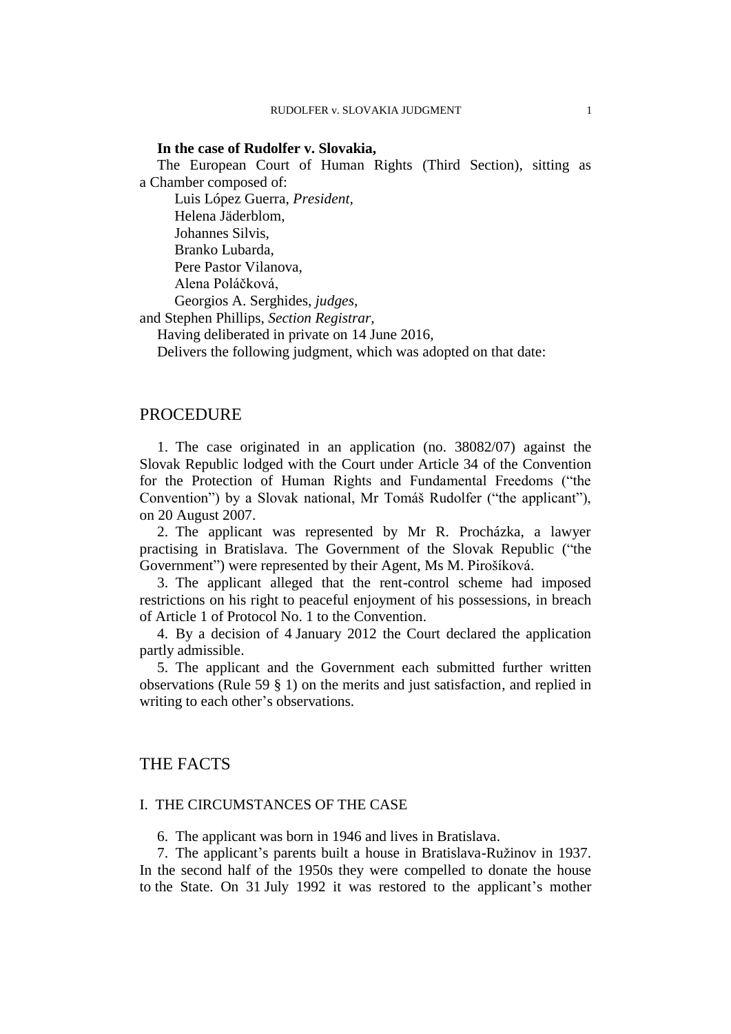### **In the case of Rudolfer v. Slovakia,**

The European Court of Human Rights (Third Section), sitting as a Chamber composed of:

Luis López Guerra, *President,* Helena Jäderblom, Johannes Silvis, Branko Lubarda, Pere Pastor Vilanova, Alena Poláčková, Georgios A. Serghides, *judges,*

and Stephen Phillips, *Section Registrar,*

Having deliberated in private on 14 June 2016,

Delivers the following judgment, which was adopted on that date:

## PROCEDURE

1. The case originated in an application (no. 38082/07) against the Slovak Republic lodged with the Court under Article 34 of the Convention for the Protection of Human Rights and Fundamental Freedoms ("the Convention") by a Slovak national, Mr Tomáš Rudolfer ("the applicant"), on 20 August 2007.

2. The applicant was represented by Mr R. Procházka, a lawyer practising in Bratislava. The Government of the Slovak Republic ("the Government") were represented by their Agent, Ms M. Pirošíková.

3. The applicant alleged that the rent-control scheme had imposed restrictions on his right to peaceful enjoyment of his possessions, in breach of Article 1 of Protocol No. 1 to the Convention.

4. By a decision of 4 January 2012 the Court declared the application partly admissible.

5. The applicant and the Government each submitted further written observations (Rule 59 § 1) on the merits and just satisfaction, and replied in writing to each other's observations.

# THE FACTS

### I. THE CIRCUMSTANCES OF THE CASE

6. The applicant was born in 1946 and lives in Bratislava.

<span id="page-2-0"></span>7. The applicant's parents built a house in Bratislava-Ružinov in 1937. In the second half of the 1950s they were compelled to donate the house to the State. On 31 July 1992 it was restored to the applicant's mother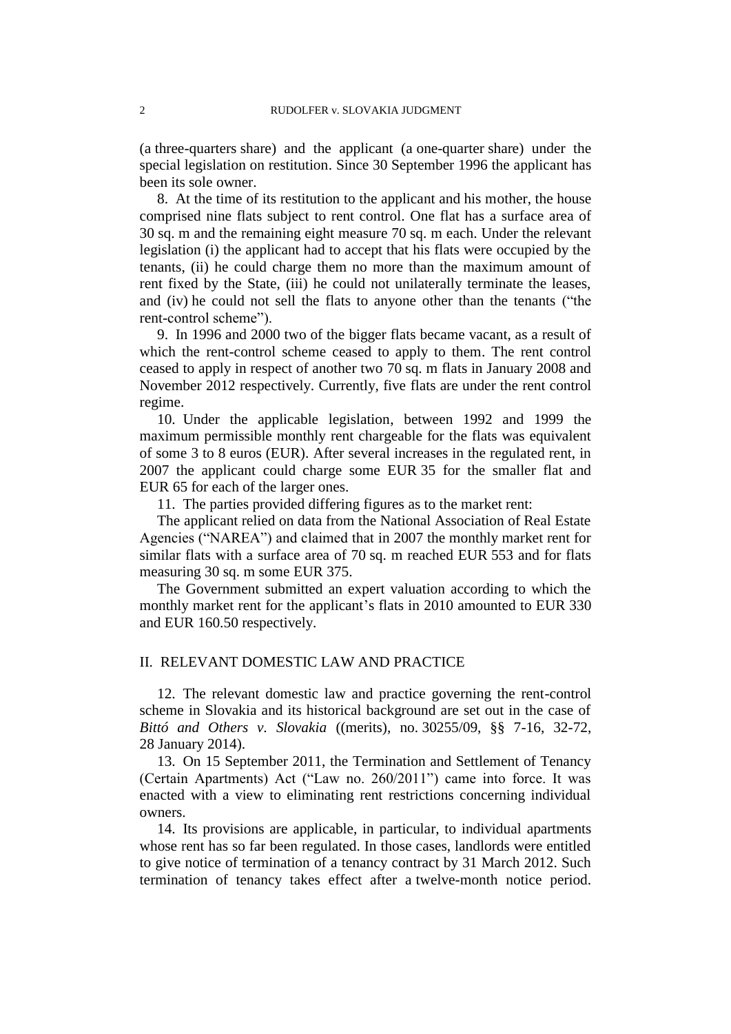(a three-quarters share) and the applicant (a one-quarter share) under the special legislation on restitution. Since 30 September 1996 the applicant has been its sole owner.

<span id="page-3-5"></span>8. At the time of its restitution to the applicant and his mother, the house comprised nine flats subject to rent control. One flat has a surface area of 30 sq. m and the remaining eight measure 70 sq. m each. Under the relevant legislation (i) the applicant had to accept that his flats were occupied by the tenants, (ii) he could charge them no more than the maximum amount of rent fixed by the State, (iii) he could not unilaterally terminate the leases, and (iv) he could not sell the flats to anyone other than the tenants ("the rent-control scheme").

<span id="page-3-0"></span>9. In 1996 and 2000 two of the bigger flats became vacant, as a result of which the rent-control scheme ceased to apply to them. The rent control ceased to apply in respect of another two 70 sq. m flats in January 2008 and November 2012 respectively. Currently, five flats are under the rent control regime.

<span id="page-3-3"></span>10. Under the applicable legislation, between 1992 and 1999 the maximum permissible monthly rent chargeable for the flats was equivalent of some 3 to 8 euros (EUR). After several increases in the regulated rent, in 2007 the applicant could charge some EUR 35 for the smaller flat and EUR 65 for each of the larger ones.

11. The parties provided differing figures as to the market rent:

<span id="page-3-1"></span>The applicant relied on data from the National Association of Real Estate Agencies ("NAREA") and claimed that in 2007 the monthly market rent for similar flats with a surface area of 70 sq. m reached EUR 553 and for flats measuring 30 sq. m some EUR 375.

The Government submitted an expert valuation according to which the monthly market rent for the applicant's flats in 2010 amounted to EUR 330 and EUR 160.50 respectively.

#### II. RELEVANT DOMESTIC LAW AND PRACTICE

12. The relevant domestic law and practice governing the rent-control scheme in Slovakia and its historical background are set out in the case of *Bittó and Others v. Slovakia* ((merits), no. 30255/09, §§ 7-16, 32-72, 28 January 2014).

<span id="page-3-2"></span>13. On 15 September 2011, the Termination and Settlement of Tenancy (Certain Apartments) Act ("Law no. 260/2011") came into force. It was enacted with a view to eliminating rent restrictions concerning individual owners.

<span id="page-3-4"></span>14. Its provisions are applicable, in particular, to individual apartments whose rent has so far been regulated. In those cases, landlords were entitled to give notice of termination of a tenancy contract by 31 March 2012. Such termination of tenancy takes effect after a twelve-month notice period.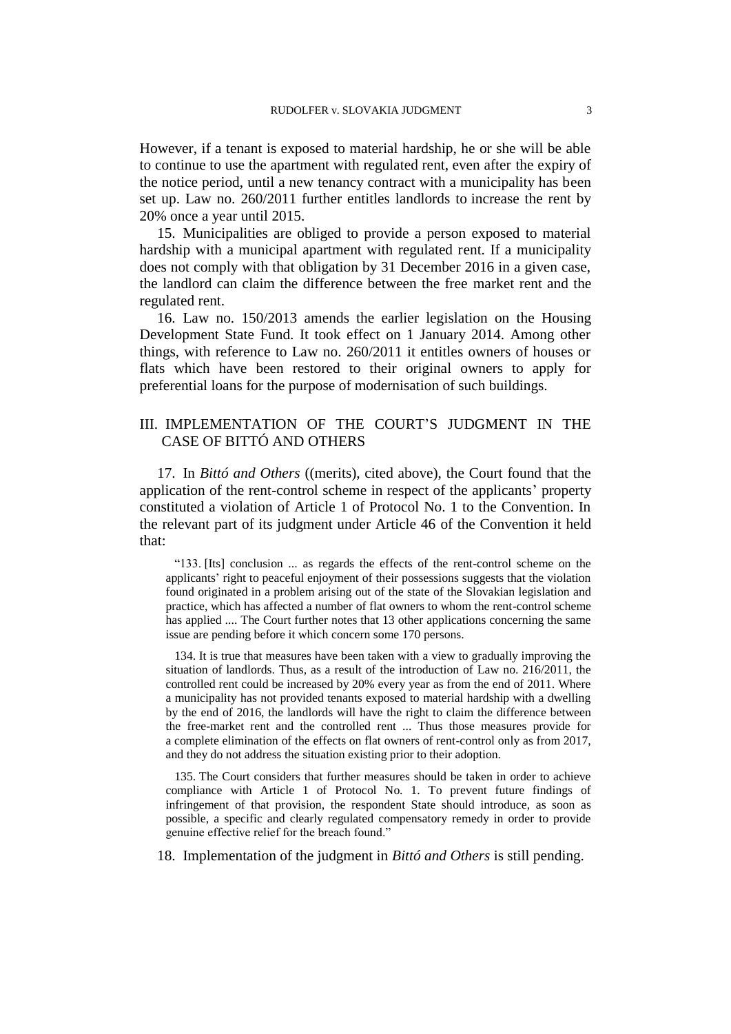However, if a tenant is exposed to material hardship, he or she will be able to continue to use the apartment with regulated rent, even after the expiry of the notice period, until a new tenancy contract with a municipality has been set up. Law no. 260/2011 further entitles landlords to increase the rent by 20% once a year until 2015.

15. Municipalities are obliged to provide a person exposed to material hardship with a municipal apartment with regulated rent. If a municipality does not comply with that obligation by 31 December 2016 in a given case, the landlord can claim the difference between the free market rent and the regulated rent.

<span id="page-4-0"></span>16. Law no. 150/2013 amends the earlier legislation on the Housing Development State Fund. It took effect on 1 January 2014. Among other things, with reference to Law no. 260/2011 it entitles owners of houses or flats which have been restored to their original owners to apply for preferential loans for the purpose of modernisation of such buildings.

# III. IMPLEMENTATION OF THE COURT'S JUDGMENT IN THE CASE OF BITTÓ AND OTHERS

17. In *Bittó and Others* ((merits), cited above), the Court found that the application of the rent-control scheme in respect of the applicants' property constituted a violation of Article 1 of Protocol No. 1 to the Convention. In the relevant part of its judgment under Article 46 of the Convention it held that:

"133. [Its] conclusion ... as regards the effects of the rent-control scheme on the applicants' right to peaceful enjoyment of their possessions suggests that the violation found originated in a problem arising out of the state of the Slovakian legislation and practice, which has affected a number of flat owners to whom the rent-control scheme has applied .... The Court further notes that 13 other applications concerning the same issue are pending before it which concern some 170 persons.

134. It is true that measures have been taken with a view to gradually improving the situation of landlords. Thus, as a result of the introduction of Law no. 216/2011, the controlled rent could be increased by 20% every year as from the end of 2011. Where a municipality has not provided tenants exposed to material hardship with a dwelling by the end of 2016, the landlords will have the right to claim the difference between the free-market rent and the controlled rent ... Thus those measures provide for a complete elimination of the effects on flat owners of rent-control only as from 2017, and they do not address the situation existing prior to their adoption.

135. The Court considers that further measures should be taken in order to achieve compliance with Article 1 of Protocol No. 1. To prevent future findings of infringement of that provision, the respondent State should introduce, as soon as possible, a specific and clearly regulated compensatory remedy in order to provide genuine effective relief for the breach found."

18. Implementation of the judgment in *Bittó and Others* is still pending.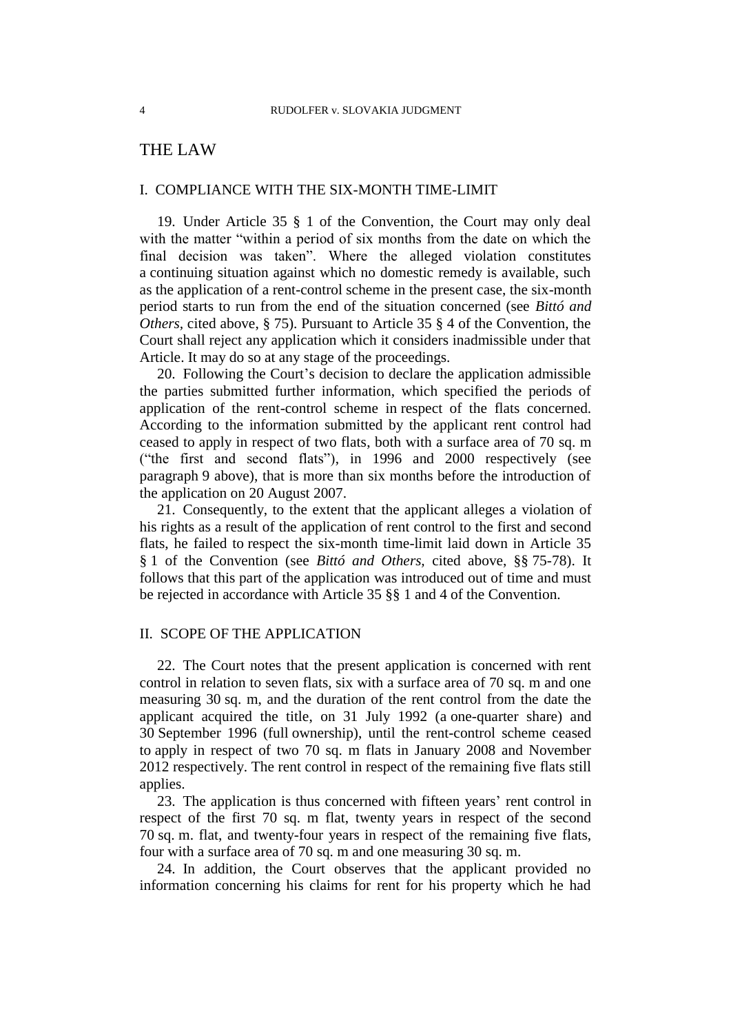# THE LAW

## I. COMPLIANCE WITH THE SIX-MONTH TIME-LIMIT

19. Under Article 35 § 1 of the Convention, the Court may only deal with the matter "within a period of six months from the date on which the final decision was taken". Where the alleged violation constitutes a continuing situation against which no domestic remedy is available, such as the application of a rent-control scheme in the present case, the six-month period starts to run from the end of the situation concerned (see *Bittó and Others,* cited above, § 75). Pursuant to Article 35 § 4 of the Convention, the Court shall reject any application which it considers inadmissible under that Article. It may do so at any stage of the proceedings.

20. Following the Court's decision to declare the application admissible the parties submitted further information, which specified the periods of application of the rent-control scheme in respect of the flats concerned. According to the information submitted by the applicant rent control had ceased to apply in respect of two flats, both with a surface area of 70 sq. m ("the first and second flats"), in 1996 and 2000 respectively (see paragraph [9](#page-3-0) above), that is more than six months before the introduction of the application on 20 August 2007.

21. Consequently, to the extent that the applicant alleges a violation of his rights as a result of the application of rent control to the first and second flats, he failed to respect the six-month time-limit laid down in Article 35 § 1 of the Convention (see *Bittó and Others,* cited above, §§ 75-78). It follows that this part of the application was introduced out of time and must be rejected in accordance with Article 35 §§ 1 and 4 of the Convention.

## II. SCOPE OF THE APPLICATION

22. The Court notes that the present application is concerned with rent control in relation to seven flats, six with a surface area of 70 sq. m and one measuring 30 sq. m, and the duration of the rent control from the date the applicant acquired the title, on 31 July 1992 (a one-quarter share) and 30 September 1996 (full ownership), until the rent-control scheme ceased to apply in respect of two 70 sq. m flats in January 2008 and November 2012 respectively. The rent control in respect of the remaining five flats still applies.

<span id="page-5-1"></span>23. The application is thus concerned with fifteen years' rent control in respect of the first 70 sq. m flat, twenty years in respect of the second 70 sq. m. flat, and twenty-four years in respect of the remaining five flats, four with a surface area of 70 sq. m and one measuring 30 sq. m.

<span id="page-5-0"></span>24. In addition, the Court observes that the applicant provided no information concerning his claims for rent for his property which he had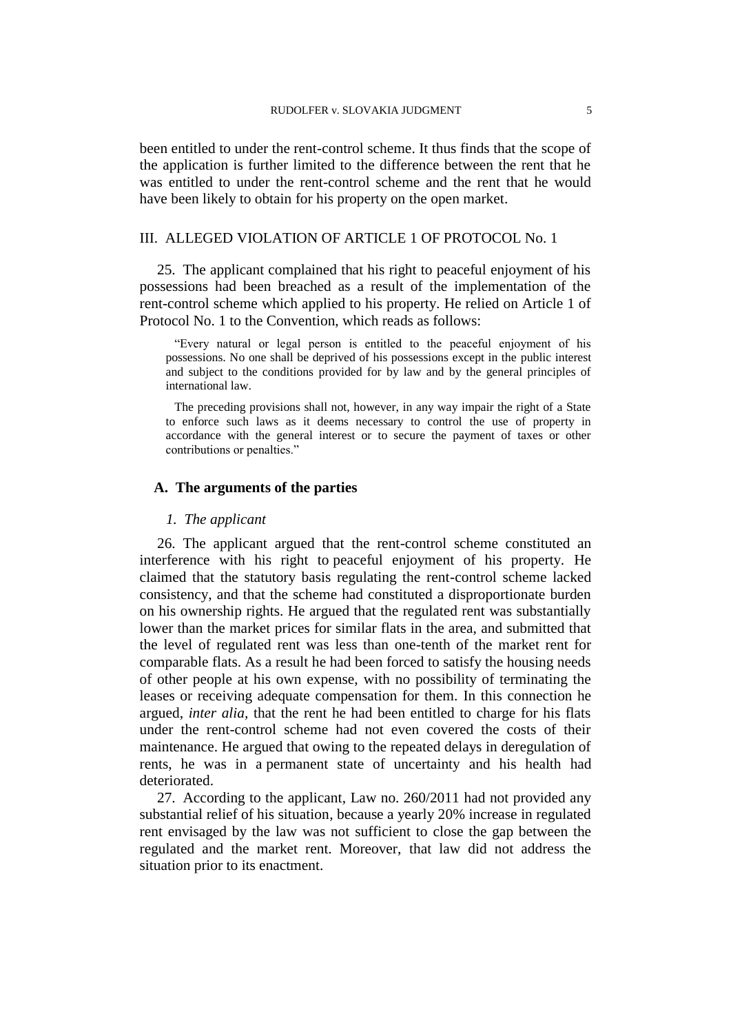been entitled to under the rent-control scheme. It thus finds that the scope of the application is further limited to the difference between the rent that he was entitled to under the rent-control scheme and the rent that he would have been likely to obtain for his property on the open market.

# III. ALLEGED VIOLATION OF ARTICLE 1 OF PROTOCOL No. 1

25. The applicant complained that his right to peaceful enjoyment of his possessions had been breached as a result of the implementation of the rent-control scheme which applied to his property. He relied on Article 1 of Protocol No. 1 to the Convention, which reads as follows:

"Every natural or legal person is entitled to the peaceful enjoyment of his possessions. No one shall be deprived of his possessions except in the public interest and subject to the conditions provided for by law and by the general principles of international law.

The preceding provisions shall not, however, in any way impair the right of a State to enforce such laws as it deems necessary to control the use of property in accordance with the general interest or to secure the payment of taxes or other contributions or penalties."

## **A. The arguments of the parties**

#### *1. The applicant*

26. The applicant argued that the rent-control scheme constituted an interference with his right to peaceful enjoyment of his property. He claimed that the statutory basis regulating the rent-control scheme lacked consistency, and that the scheme had constituted a disproportionate burden on his ownership rights. He argued that the regulated rent was substantially lower than the market prices for similar flats in the area, and submitted that the level of regulated rent was less than one-tenth of the market rent for comparable flats. As a result he had been forced to satisfy the housing needs of other people at his own expense, with no possibility of terminating the leases or receiving adequate compensation for them. In this connection he argued, *inter alia,* that the rent he had been entitled to charge for his flats under the rent-control scheme had not even covered the costs of their maintenance. He argued that owing to the repeated delays in deregulation of rents, he was in a permanent state of uncertainty and his health had deteriorated.

27. According to the applicant, Law no. 260/2011 had not provided any substantial relief of his situation, because a yearly 20% increase in regulated rent envisaged by the law was not sufficient to close the gap between the regulated and the market rent. Moreover, that law did not address the situation prior to its enactment.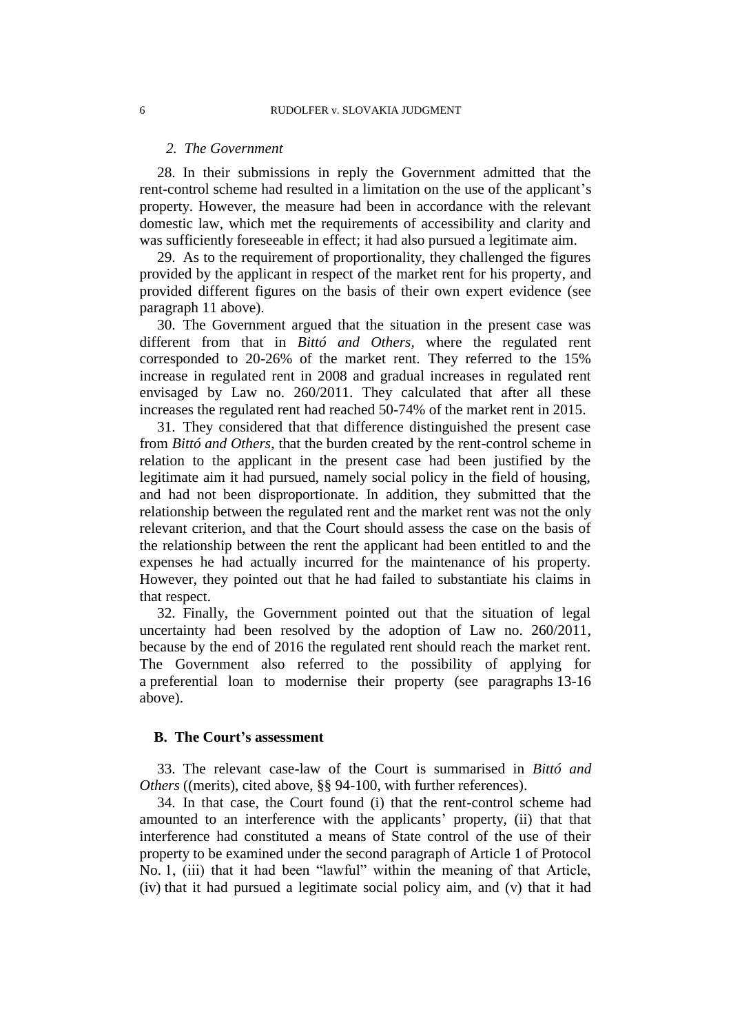### *2. The Government*

28. In their submissions in reply the Government admitted that the rent-control scheme had resulted in a limitation on the use of the applicant's property. However, the measure had been in accordance with the relevant domestic law, which met the requirements of accessibility and clarity and was sufficiently foreseeable in effect; it had also pursued a legitimate aim.

29. As to the requirement of proportionality, they challenged the figures provided by the applicant in respect of the market rent for his property, and provided different figures on the basis of their own expert evidence (see paragraph [11](#page-3-1) above).

<span id="page-7-0"></span>30. The Government argued that the situation in the present case was different from that in *Bittó and Others,* where the regulated rent corresponded to 20-26% of the market rent. They referred to the 15% increase in regulated rent in 2008 and gradual increases in regulated rent envisaged by Law no. 260/2011. They calculated that after all these increases the regulated rent had reached 50-74% of the market rent in 2015.

31. They considered that that difference distinguished the present case from *Bittó and Others*, that the burden created by the rent-control scheme in relation to the applicant in the present case had been justified by the legitimate aim it had pursued, namely social policy in the field of housing, and had not been disproportionate. In addition, they submitted that the relationship between the regulated rent and the market rent was not the only relevant criterion, and that the Court should assess the case on the basis of the relationship between the rent the applicant had been entitled to and the expenses he had actually incurred for the maintenance of his property. However, they pointed out that he had failed to substantiate his claims in that respect.

32. Finally, the Government pointed out that the situation of legal uncertainty had been resolved by the adoption of Law no. 260/2011, because by the end of 2016 the regulated rent should reach the market rent. The Government also referred to the possibility of applying for a preferential loan to modernise their property (see paragraphs [13](#page-3-2)[-16](#page-4-0) above).

#### **B. The Court's assessment**

33. The relevant case-law of the Court is summarised in *Bittó and Others* ((merits), cited above, §§ 94-100, with further references).

34. In that case, the Court found (i) that the rent-control scheme had amounted to an interference with the applicants' property, (ii) that that interference had constituted a means of State control of the use of their property to be examined under the second paragraph of Article 1 of Protocol No. 1, (iii) that it had been "lawful" within the meaning of that Article, (iv) that it had pursued a legitimate social policy aim, and (v) that it had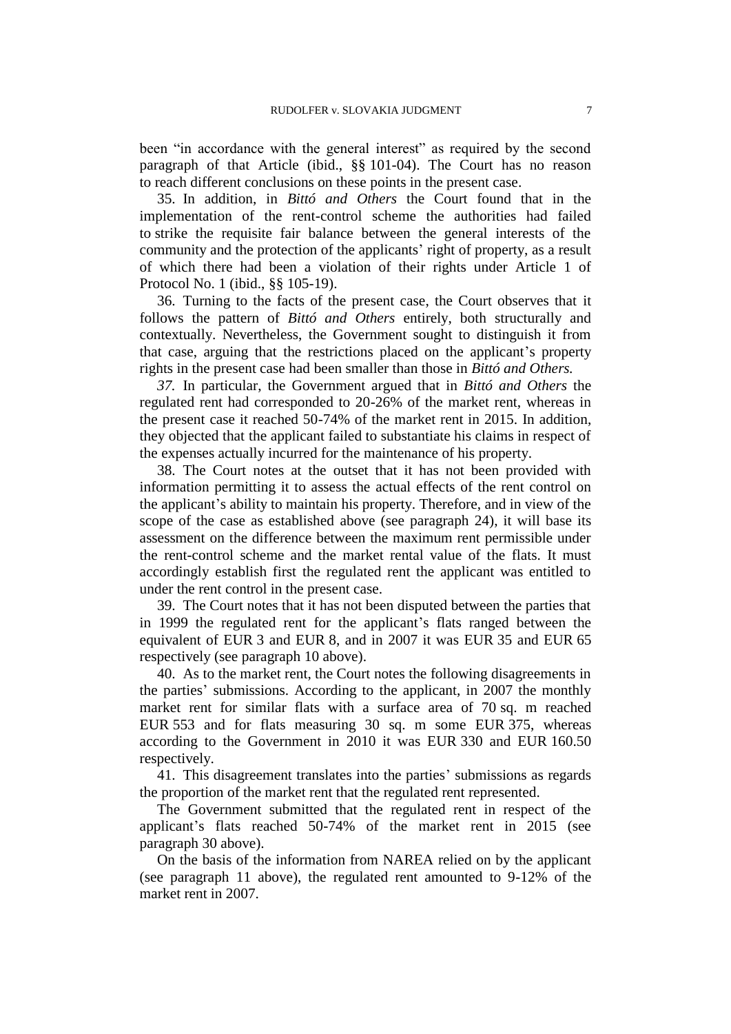been "in accordance with the general interest" as required by the second paragraph of that Article (ibid., §§ 101-04). The Court has no reason to reach different conclusions on these points in the present case.

35. In addition, in *Bittó and Others* the Court found that in the implementation of the rent-control scheme the authorities had failed to strike the requisite fair balance between the general interests of the community and the protection of the applicants' right of property, as a result of which there had been a violation of their rights under Article 1 of Protocol No. 1 (ibid., §§ 105-19).

36. Turning to the facts of the present case, the Court observes that it follows the pattern of *Bittó and Others* entirely, both structurally and contextually. Nevertheless, the Government sought to distinguish it from that case, arguing that the restrictions placed on the applicant's property rights in the present case had been smaller than those in *Bittó and Others.*

*37.* In particular, the Government argued that in *Bittó and Others* the regulated rent had corresponded to 20-26% of the market rent, whereas in the present case it reached 50-74% of the market rent in 2015. In addition, they objected that the applicant failed to substantiate his claims in respect of the expenses actually incurred for the maintenance of his property.

38. The Court notes at the outset that it has not been provided with information permitting it to assess the actual effects of the rent control on the applicant's ability to maintain his property. Therefore, and in view of the scope of the case as established above (see paragraph [24\)](#page-5-0), it will base its assessment on the difference between the maximum rent permissible under the rent-control scheme and the market rental value of the flats. It must accordingly establish first the regulated rent the applicant was entitled to under the rent control in the present case.

39. The Court notes that it has not been disputed between the parties that in 1999 the regulated rent for the applicant's flats ranged between the equivalent of EUR 3 and EUR 8, and in 2007 it was EUR 35 and EUR 65 respectively (see paragraph [10](#page-3-3) above).

40. As to the market rent, the Court notes the following disagreements in the parties' submissions. According to the applicant, in 2007 the monthly market rent for similar flats with a surface area of 70 sq. m reached EUR 553 and for flats measuring 30 sq. m some EUR 375, whereas according to the Government in 2010 it was EUR 330 and EUR 160.50 respectively.

41. This disagreement translates into the parties' submissions as regards the proportion of the market rent that the regulated rent represented.

The Government submitted that the regulated rent in respect of the applicant's flats reached 50-74% of the market rent in 2015 (see paragraph [30](#page-7-0) above).

On the basis of the information from NAREA relied on by the applicant (see paragraph [11](#page-3-1) above), the regulated rent amounted to 9-12% of the market rent in 2007.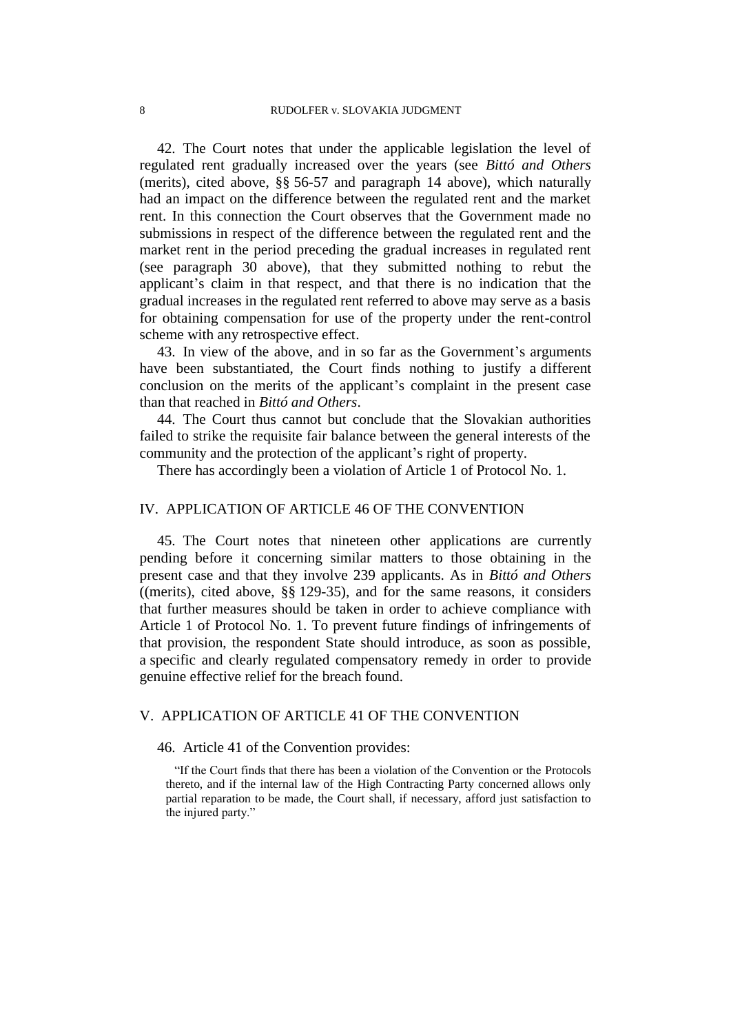42. The Court notes that under the applicable legislation the level of regulated rent gradually increased over the years (see *Bittó and Others* (merits), cited above, §§ 56-57 and paragraph [14](#page-3-4) above), which naturally had an impact on the difference between the regulated rent and the market rent. In this connection the Court observes that the Government made no submissions in respect of the difference between the regulated rent and the market rent in the period preceding the gradual increases in regulated rent (see paragraph [30](#page-7-0) above), that they submitted nothing to rebut the applicant's claim in that respect, and that there is no indication that the gradual increases in the regulated rent referred to above may serve as a basis for obtaining compensation for use of the property under the rent-control scheme with any retrospective effect.

43. In view of the above, and in so far as the Government's arguments have been substantiated, the Court finds nothing to justify a different conclusion on the merits of the applicant's complaint in the present case than that reached in *Bittó and Others*.

44. The Court thus cannot but conclude that the Slovakian authorities failed to strike the requisite fair balance between the general interests of the community and the protection of the applicant's right of property.

There has accordingly been a violation of Article 1 of Protocol No. 1.

## IV. APPLICATION OF ARTICLE 46 OF THE CONVENTION

45. The Court notes that nineteen other applications are currently pending before it concerning similar matters to those obtaining in the present case and that they involve 239 applicants. As in *Bittó and Others* ((merits), cited above, §§ 129-35), and for the same reasons, it considers that further measures should be taken in order to achieve compliance with Article 1 of Protocol No. 1. To prevent future findings of infringements of that provision, the respondent State should introduce, as soon as possible, a specific and clearly regulated compensatory remedy in order to provide genuine effective relief for the breach found.

# V. APPLICATION OF ARTICLE 41 OF THE CONVENTION

## 46. Article 41 of the Convention provides:

"If the Court finds that there has been a violation of the Convention or the Protocols thereto, and if the internal law of the High Contracting Party concerned allows only partial reparation to be made, the Court shall, if necessary, afford just satisfaction to the injured party."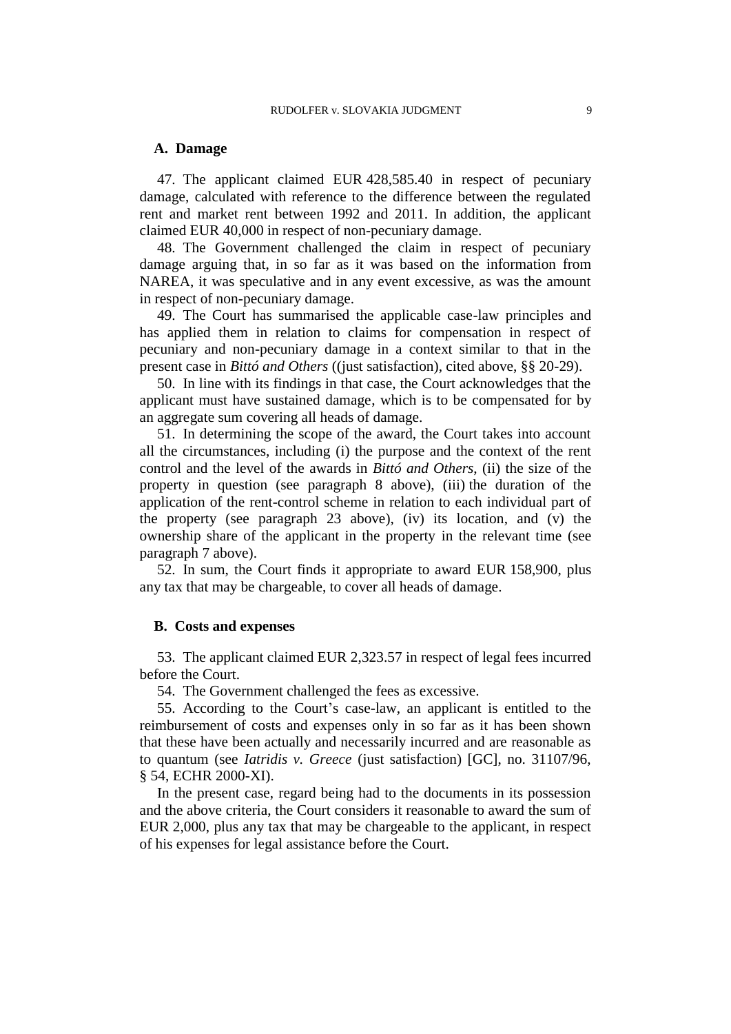# **A. Damage**

47. The applicant claimed EUR 428,585.40 in respect of pecuniary damage, calculated with reference to the difference between the regulated rent and market rent between 1992 and 2011. In addition, the applicant claimed EUR 40,000 in respect of non-pecuniary damage.

48. The Government challenged the claim in respect of pecuniary damage arguing that, in so far as it was based on the information from NAREA, it was speculative and in any event excessive, as was the amount in respect of non-pecuniary damage.

49. The Court has summarised the applicable case-law principles and has applied them in relation to claims for compensation in respect of pecuniary and non-pecuniary damage in a context similar to that in the present case in *Bittó and Others* ((just satisfaction), cited above, §§ 20-29).

50. In line with its findings in that case, the Court acknowledges that the applicant must have sustained damage, which is to be compensated for by an aggregate sum covering all heads of damage.

51. In determining the scope of the award, the Court takes into account all the circumstances, including (i) the purpose and the context of the rent control and the level of the awards in *Bittó and Others*, (ii) the size of the property in question (see paragraph [8](#page-3-5) above), (iii) the duration of the application of the rent-control scheme in relation to each individual part of the property (see paragraph [23](#page-5-1) above), (iv) its location, and (v) the ownership share of the applicant in the property in the relevant time (see paragraph [7](#page-2-0) above).

52. In sum, the Court finds it appropriate to award EUR 158,900, plus any tax that may be chargeable, to cover all heads of damage.

## **B. Costs and expenses**

53. The applicant claimed EUR 2,323.57 in respect of legal fees incurred before the Court.

54. The Government challenged the fees as excessive.

55. According to the Court's case-law, an applicant is entitled to the reimbursement of costs and expenses only in so far as it has been shown that these have been actually and necessarily incurred and are reasonable as to quantum (see *Iatridis v. Greece* (just satisfaction) [GC], no. 31107/96, § 54, ECHR 2000-XI).

In the present case, regard being had to the documents in its possession and the above criteria, the Court considers it reasonable to award the sum of EUR 2,000, plus any tax that may be chargeable to the applicant, in respect of his expenses for legal assistance before the Court.